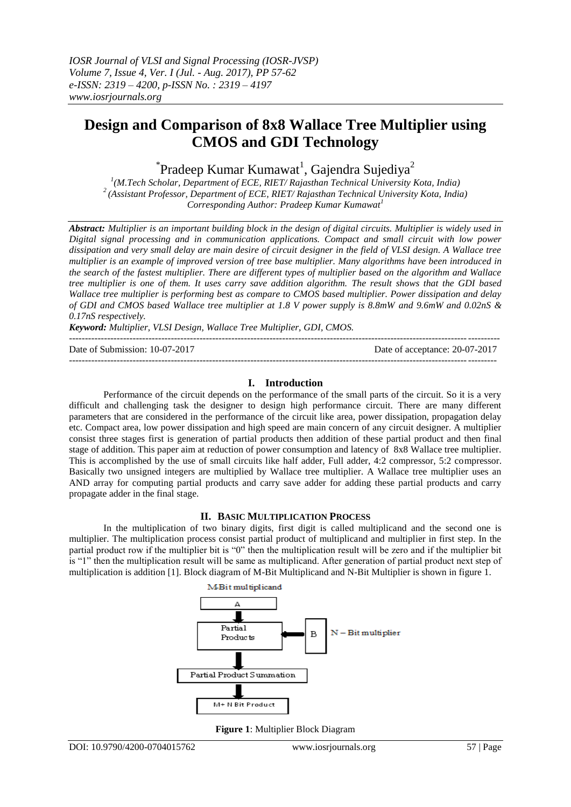# **Design and Comparison of 8x8 Wallace Tree Multiplier using CMOS and GDI Technology**

 $\mathrm{``Pradeep~Kumar~Kumawat}$ <sup>1</sup>, Gajendra Sujediya<sup>2</sup>

*1 (M.Tech Scholar, Department of ECE, RIET/ Rajasthan Technical University Kota, India) <sup>2</sup>(Assistant Professor, Department of ECE, RIET/ Rajasthan Technical University Kota, India) Corresponding Author: Pradeep Kumar Kumawat<sup>1</sup>*

*Abstract: Multiplier is an important building block in the design of digital circuits. Multiplier is widely used in Digital signal processing and in communication applications. Compact and small circuit with low power dissipation and very small delay are main desire of circuit designer in the field of VLSI design. A Wallace tree multiplier is an example of improved version of tree base multiplier. Many algorithms have been introduced in the search of the fastest multiplier. There are different types of multiplier based on the algorithm and Wallace tree multiplier is one of them. It uses carry save addition algorithm. The result shows that the GDI based Wallace tree multiplier is performing best as compare to CMOS based multiplier. Power dissipation and delay of GDI and CMOS based Wallace tree multiplier at 1.8 V power supply is 8.8mW and 9.6mW and 0.02nS & 0.17nS respectively.* 

*Keyword: Multiplier, VLSI Design, Wallace Tree Multiplier, GDI, CMOS.*

 $-1.1$ 

Date of Submission: 10-07-2017 Date of acceptance: 20-07-2017 --------------------------------------------------------------------------------------------------------------------------------------

# **I. Introduction**

Performance of the circuit depends on the performance of the small parts of the circuit. So it is a very difficult and challenging task the designer to design high performance circuit. There are many different parameters that are considered in the performance of the circuit like area, power dissipation, propagation delay etc. Compact area, low power dissipation and high speed are main concern of any circuit designer. A multiplier consist three stages first is generation of partial products then addition of these partial product and then final stage of addition. This paper aim at reduction of power consumption and latency of 8x8 Wallace tree multiplier. This is accomplished by the use of small circuits like half adder, Full adder, 4:2 compressor, 5:2 compressor. Basically two unsigned integers are multiplied by Wallace tree multiplier. A Wallace tree multiplier uses an AND array for computing partial products and carry save adder for adding these partial products and carry propagate adder in the final stage.

# **II. BASIC MULTIPLICATION PROCESS**

In the multiplication of two binary digits, first digit is called multiplicand and the second one is multiplier. The multiplication process consist partial product of multiplicand and multiplier in first step. In the partial product row if the multiplier bit is "0" then the multiplication result will be zero and if the multiplier bit is "1" then the multiplication result will be same as multiplicand. After generation of partial product next step of multiplication is addition [1]. Block diagram of M-Bit Multiplicand and N-Bit Multiplier is shown in figure 1.



**Figure 1**: Multiplier Block Diagram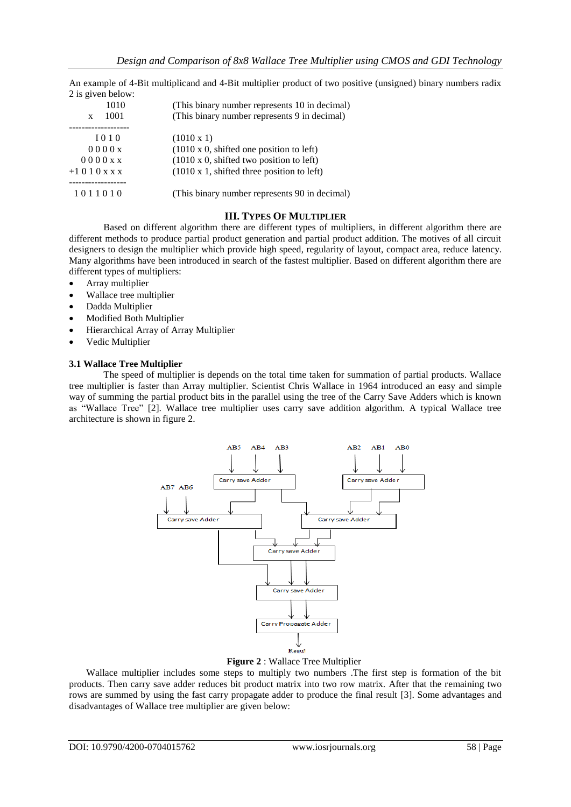An example of 4-Bit multiplicand and 4-Bit multiplier product of two positive (unsigned) binary numbers radix 2 is given below:

| 1010          | (This binary number represents 10 in decimal)     |  |
|---------------|---------------------------------------------------|--|
| 1001<br>X     | (This binary number represents 9 in decimal)      |  |
|               |                                                   |  |
| $I$ 0 1 0     | $(1010 \times 1)$                                 |  |
| 0000x         | $(1010 \times 0,$ shifted one position to left)   |  |
| 0000x x       | $(1010 \times 0,$ shifted two position to left)   |  |
| $+1010$ x x x | $(1010 \times 1,$ shifted three position to left) |  |
|               |                                                   |  |
| 1011010       | (This binary number represents 90 in decimal)     |  |
|               |                                                   |  |

#### **III. TYPES OF MULTIPLIER**

Based on different algorithm there are different types of multipliers, in different algorithm there are different methods to produce partial product generation and partial product addition. The motives of all circuit designers to design the multiplier which provide high speed, regularity of layout, compact area, reduce latency. Many algorithms have been introduced in search of the fastest multiplier. Based on different algorithm there are different types of multipliers:

- Array multiplier
- Wallace tree multiplier
- Dadda Multiplier
- Modified Both Multiplier
- Hierarchical Array of Array Multiplier
- Vedic Multiplier

#### **3.1 Wallace Tree Multiplier**

The speed of multiplier is depends on the total time taken for summation of partial products. Wallace tree multiplier is faster than Array multiplier. Scientist Chris Wallace in 1964 introduced an easy and simple way of summing the partial product bits in the parallel using the tree of the Carry Save Adders which is known as "Wallace Tree" [2]. Wallace tree multiplier uses carry save addition algorithm. A typical Wallace tree architecture is shown in figure 2.



**Figure 2** : Wallace Tree Multiplier

Wallace multiplier includes some steps to multiply two numbers .The first step is formation of the bit products. Then carry save adder reduces bit product matrix into two row matrix. After that the remaining two rows are summed by using the fast carry propagate adder to produce the final result [3]. Some advantages and disadvantages of Wallace tree multiplier are given below: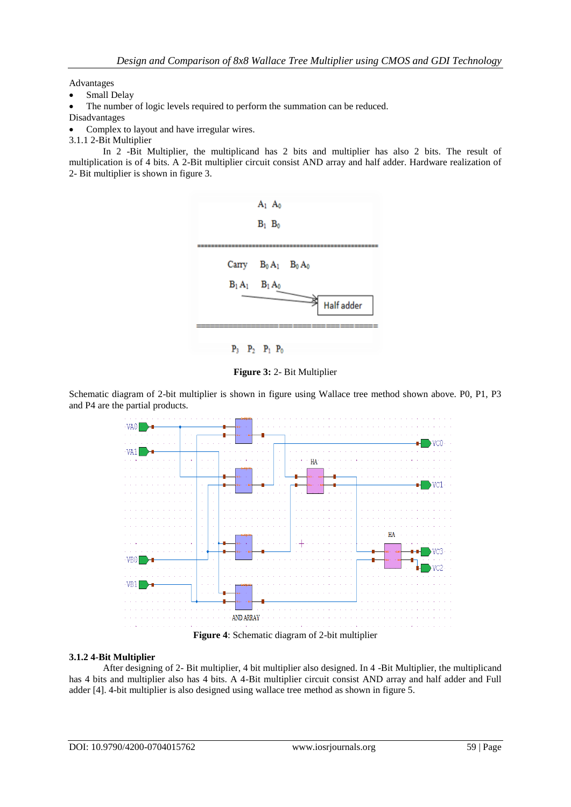Advantages

- Small Delay
- The number of logic levels required to perform the summation can be reduced.
- Disadvantages
- Complex to layout and have irregular wires.
- 3.1.1 2-Bit Multiplier

In 2 -Bit Multiplier, the multiplicand has 2 bits and multiplier has also 2 bits. The result of multiplication is of 4 bits. A 2-Bit multiplier circuit consist AND array and half adder. Hardware realization of 2- Bit multiplier is shown in figure 3.



**Figure 3:** 2- Bit Multiplier

Schematic diagram of 2-bit multiplier is shown in figure using Wallace tree method shown above. P0, P1, P3 and P4 are the partial products.



# **3.1.2 4-Bit Multiplier**

After designing of 2- Bit multiplier, 4 bit multiplier also designed. In 4 -Bit Multiplier, the multiplicand has 4 bits and multiplier also has 4 bits. A 4-Bit multiplier circuit consist AND array and half adder and Full adder [4]. 4-bit multiplier is also designed using wallace tree method as shown in figure 5.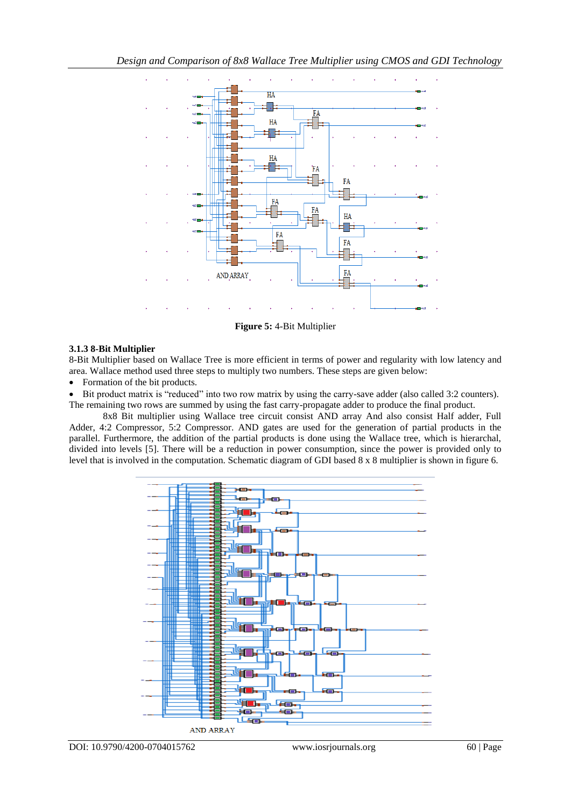

**Figure 5:** 4-Bit Multiplier

#### **3.1.3 8-Bit Multiplier**

8-Bit Multiplier based on Wallace Tree is more efficient in terms of power and regularity with low latency and area. Wallace method used three steps to multiply two numbers. These steps are given below:

• Formation of the bit products.

Bit product matrix is "reduced" into two row matrix by using the carry-save adder (also called 3:2 counters).

The remaining two rows are summed by using the fast carry-propagate adder to produce the final product.

8x8 Bit multiplier using Wallace tree circuit consist AND array And also consist Half adder, Full Adder, 4:2 Compressor, 5:2 Compressor. AND gates are used for the generation of partial products in the parallel. Furthermore, the addition of the partial products is done using the Wallace tree, which is hierarchal, divided into levels [5]. There will be a reduction in power consumption, since the power is provided only to level that is involved in the computation. Schematic diagram of GDI based 8 x 8 multiplier is shown in figure 6.

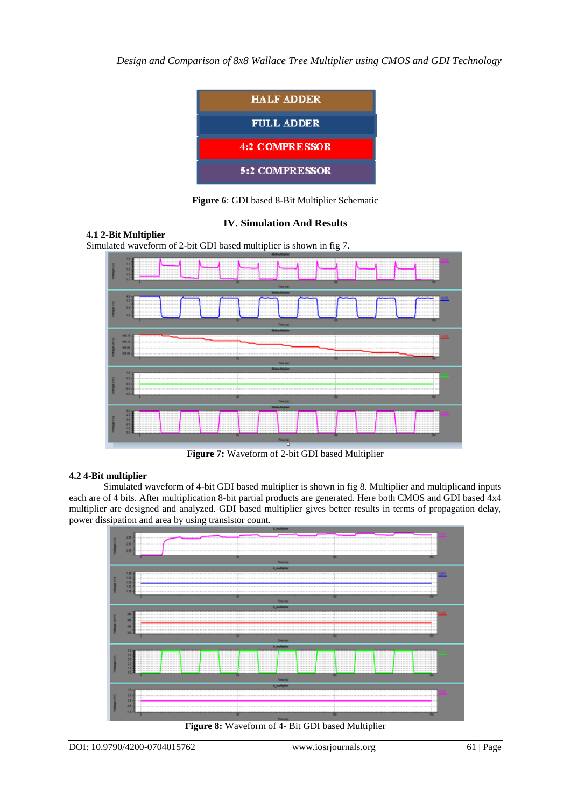

**Figure 6**: GDI based 8-Bit Multiplier Schematic

# **IV. Simulation And Results**

**4.1 2-Bit Multiplier** Simulated waveform of 2-bit GDI based multiplier is shown in fig 7.



**Figure 7:** Waveform of 2-bit GDI based Multiplier

# **4.2 4-Bit multiplier**

Simulated waveform of 4-bit GDI based multiplier is shown in fig 8. Multiplier and multiplicand inputs each are of 4 bits. After multiplication 8-bit partial products are generated. Here both CMOS and GDI based 4x4 multiplier are designed and analyzed. GDI based multiplier gives better results in terms of propagation delay, power dissipation and area by using transistor count.



**Figure 8:** Waveform of 4- Bit GDI based Multiplier